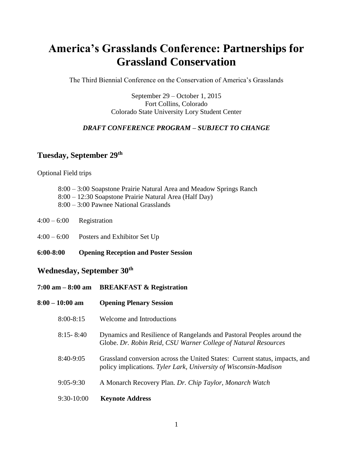# **America's Grasslands Conference: Partnerships for Grassland Conservation**

The Third Biennial Conference on the Conservation of America's Grasslands

September 29 – October 1, 2015 Fort Collins, Colorado Colorado State University Lory Student Center

### *DRAFT CONFERENCE PROGRAM – SUBJECT TO CHANGE*

## **Tuesday, September 29th**

Optional Field trips

- 8:00 3:00 Soapstone Prairie Natural Area and Meadow Springs Ranch 8:00 – 12:30 Soapstone Prairie Natural Area (Half Day)
- 8:00 3:00 Pawnee National Grasslands
- $4:00 6:00$  Registration
- 4:00 6:00 Posters and Exhibitor Set Up
- **6:00-8:00 Opening Reception and Poster Session**

**7:00 am – 8:00 am BREAKFAST & Registration**

### **Wednesday, September 30th**

| 8:00 – 10:00 am | <b>Opening Plenary Session</b>                                                                                                                  |
|-----------------|-------------------------------------------------------------------------------------------------------------------------------------------------|
| $8:00 - 8:15$   | Welcome and Introductions                                                                                                                       |
| $8:15 - 8:40$   | Dynamics and Resilience of Rangelands and Pastoral Peoples around the<br>Globe. Dr. Robin Reid, CSU Warner College of Natural Resources         |
| $8:40-9:05$     | Grassland conversion across the United States: Current status, impacts, and<br>policy implications. Tyler Lark, University of Wisconsin-Madison |
| $9:05 - 9:30$   | A Monarch Recovery Plan. Dr. Chip Taylor, Monarch Watch                                                                                         |
| $9:30-10:00$    | <b>Keynote Address</b>                                                                                                                          |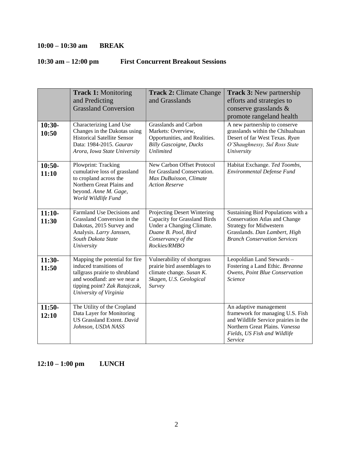## **10:00 – 10:30 am BREAK**

# **10:30 am – 12:00 pm First Concurrent Breakout Sessions**

| $10:30-$<br>10:50 | <b>Track 1: Monitoring</b><br>and Predicting<br><b>Grassland Conversion</b><br>Characterizing Land Use<br>Changes in the Dakotas using<br><b>Historical Satellite Sensor</b><br>Data: 1984-2015. Gaurav | <b>Track 2: Climate Change</b><br>and Grasslands<br><b>Grasslands and Carbon</b><br>Markets: Overview,<br>Opportunities, and Realities.<br><b>Billy Gascoigne, Ducks</b><br><b>Unlimited</b> | Track 3: New partnership<br>efforts and strategies to<br>conserve grasslands &<br>promote rangeland health<br>A new partnership to conserve<br>grasslands within the Chihuahuan<br>Desert of far West Texas. Ryan<br>O'Shaughnessy, Sul Ross State<br>University |
|-------------------|---------------------------------------------------------------------------------------------------------------------------------------------------------------------------------------------------------|----------------------------------------------------------------------------------------------------------------------------------------------------------------------------------------------|------------------------------------------------------------------------------------------------------------------------------------------------------------------------------------------------------------------------------------------------------------------|
| $10:50-$<br>11:10 | Arora, Iowa State University<br>Plowprint: Tracking<br>cumulative loss of grassland<br>to cropland across the<br>Northern Great Plains and<br>beyond. Anne M. Gage,<br>World Wildlife Fund              | New Carbon Offset Protocol<br>for Grassland Conservation.<br>Max DuBuisson, Climate<br><b>Action Reserve</b>                                                                                 | Habitat Exchange. Ted Toombs,<br>Environmental Defense Fund                                                                                                                                                                                                      |
| $11:10-$<br>11:30 | Farmland Use Decisions and<br>Grassland Conversion in the<br>Dakotas, 2015 Survey and<br>Analysis. Larry Janssen,<br>South Dakota State<br>University                                                   | Projecting Desert Wintering<br>Capacity for Grassland Birds<br>Under a Changing Climate.<br>Duane B. Pool, Bird<br>Conservancy of the<br>Rockies/RMBO                                        | Sustaining Bird Populations with a<br><b>Conservation Atlas and Change</b><br><b>Strategy for Midwestern</b><br>Grasslands. Dan Lambert, High<br><b>Branch Conservation Services</b>                                                                             |
| $11:30-$<br>11:50 | Mapping the potential for fire<br>induced transitions of<br>tallgrass prairie to shrubland<br>and woodland: are we near a<br>tipping point? Zak Ratajczak,<br>University of Virginia                    | Vulnerability of shortgrass<br>prairie bird assemblages to<br>climate change. Susan K.<br>Skagen, U.S. Geological<br>Survey                                                                  | Leopoldian Land Stewards-<br>Fostering a Land Ethic. Breanna<br>Owens, Point Blue Conservation<br>Science                                                                                                                                                        |
| $11:50-$<br>12:10 | The Utility of the Cropland<br>Data Layer for Monitoring<br>US Grassland Extent. David<br>Johnson, USDA NASS                                                                                            |                                                                                                                                                                                              | An adaptive management<br>framework for managing U.S. Fish<br>and Wildlife Service prairies in the<br>Northern Great Plains. Vanessa<br>Fields, US Fish and Wildlife<br>Service                                                                                  |

**12:10 – 1:00 pm LUNCH**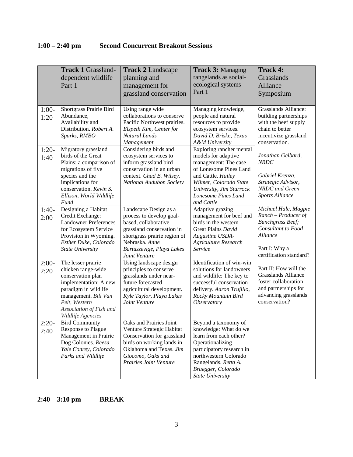# **1:00 – 2:40 pm Second Concurrent Breakout Sessions**

|                 | <b>Track 1 Grassland-</b><br>dependent wildlife<br>Part 1                                                                                                                                               | <b>Track 2 Landscape</b><br>planning and<br>management for<br>grassland conservation                                                                                                                   | <b>Track 3: Managing</b><br>rangelands as social-<br>ecological systems-<br>Part 1                                                                                                                                         | <b>Track 4:</b><br>Grasslands<br>Alliance<br>Symposium                                                                                                        |
|-----------------|---------------------------------------------------------------------------------------------------------------------------------------------------------------------------------------------------------|--------------------------------------------------------------------------------------------------------------------------------------------------------------------------------------------------------|----------------------------------------------------------------------------------------------------------------------------------------------------------------------------------------------------------------------------|---------------------------------------------------------------------------------------------------------------------------------------------------------------|
| $1:00-$<br>1:20 | Shortgrass Prairie Bird<br>Abundance,<br>Availability and<br>Distribution. Robert A.<br>Sparks, RMBO                                                                                                    | Using range wide<br>collaborations to conserve<br>Pacific Northwest prairies.<br>Elspeth Kim, Center for<br>Natural Lands<br>Management                                                                | Managing knowledge,<br>people and natural<br>resources to provide<br>ecosystem services.<br>David D. Briske, Texas<br>A&M University                                                                                       | <b>Grasslands Alliance:</b><br>building partnerships<br>with the beef supply<br>chain to better<br>incentivize grassland<br>conservation.                     |
| $1:20-$<br>1:40 | Migratory grassland<br>birds of the Great<br>Plains: a comparison of<br>migrations of five<br>species and the<br>implications for<br>conservation. Kevin S.<br>Ellison, World Wildlife<br>Fund          | Considering birds and<br>ecosystem services to<br>inform grassland bird<br>conservation in an urban<br>context. Chad B. Wilsey.<br>National Audubon Society                                            | Exploring rancher mental<br>models for adaptive<br>management: The case<br>of Lonesome Pines Land<br>and Cattle. Hailey<br>Wilmer, Colorado State<br>University, Jim Sturrock<br>Lonesome Pines Land<br>and Cattle         | Jonathan Gelbard,<br><b>NRDC</b><br>Gabriel Krenza,<br>Strategic Advisor,<br>NRDC and Green<br><b>Sports Alliance</b>                                         |
| $1:40-$<br>2:00 | Designing a Habitat<br>Credit Exchange:<br><b>Landowner Preferences</b><br>for Ecosystem Service<br>Provision in Wyoming.<br>Esther Duke, Colorado<br><b>State University</b>                           | Landscape Design as a<br>process to develop goal-<br>based, collaborative<br>grassland conservation in<br>shortgrass prairie region of<br>Nebraska. Anne<br>Bartuszevige, Playa Lakes<br>Joint Venture | Adaptive grazing<br>management for beef and<br>birds in the western<br>Great Plains David<br>Augustine USDA-<br><b>Agriculture Research</b><br>Service                                                                     | Michael Hale, Magpie<br>$Random - Product of$<br><b>Bunchgrass Beef;</b><br><b>Consultant to Food</b><br>Alliance<br>Part I: Why a<br>certification standard? |
| $2:00-$<br>2:20 | The lesser prairie<br>chicken range-wide<br>conservation plan<br>implementation: A new<br>paradigm in wildlife<br>management. Bill Van<br>Pelt, Western<br>Association of Fish and<br>Wildlife Agencies | Using landscape design<br>principles to conserve<br>grasslands under near-<br>future forecasted<br>agricultural development.<br>Kyle Taylor, Playa Lakes<br>Joint Venture                              | Identification of win-win<br>solutions for landowners<br>and wildlife: The key to<br>successful conservation<br>delivery. Aaron Trujillo,<br>Rocky Mountain Bird<br><i><b>Observatory</b></i>                              | Part II: How will the<br><b>Grasslands Alliance</b><br>foster collaboration<br>and partnerships for<br>advancing grasslands<br>conservation?                  |
| $2:20-$<br>2:40 | <b>Bird Community</b><br>Response to Plague<br>Management in Prairie<br>Dog Colonies. Reesa<br>Yale Conrey, Colorado<br>Parks and Wildlife                                                              | Oaks and Prairies Joint<br>Venture Strategic Habitat<br>Conservation for grassland<br>birds on working lands in<br>Oklahoma and Texas. Jim<br>Giocomo, Oaks and<br>Prairies Joint Venture              | Beyond a taxonomy of<br>knowledge: What do we<br>learn from each other?<br>Operationalizing<br>participatory research in<br>northwestern Colorado<br>Rangelands. Retta A.<br>Bruegger, Colorado<br><b>State University</b> |                                                                                                                                                               |

**2:40 – 3:10 pm BREAK**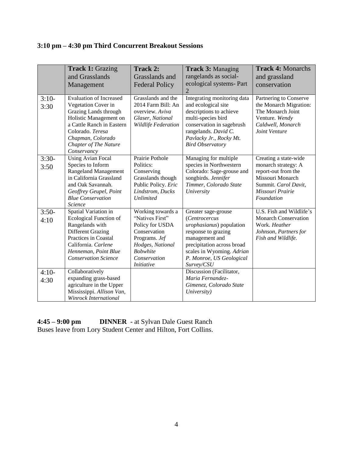# **3:10 pm – 4:30 pm Third Concurrent Breakout Sessions**

|                 | <b>Track 1: Grazing</b><br>and Grasslands<br>Management                                                                                                                                                                       | Track 2:<br>Grasslands and<br><b>Federal Policy</b>                                                                                                                  | <b>Track 3: Managing</b><br>rangelands as social-<br>ecological systems- Part                                                                                                                                  | <b>Track 4: Monarchs</b><br>and grassland<br>conservation                                                                                         |
|-----------------|-------------------------------------------------------------------------------------------------------------------------------------------------------------------------------------------------------------------------------|----------------------------------------------------------------------------------------------------------------------------------------------------------------------|----------------------------------------------------------------------------------------------------------------------------------------------------------------------------------------------------------------|---------------------------------------------------------------------------------------------------------------------------------------------------|
|                 |                                                                                                                                                                                                                               |                                                                                                                                                                      | 2                                                                                                                                                                                                              |                                                                                                                                                   |
| $3:10-$<br>3:30 | <b>Evaluation of Increased</b><br>Vegetation Cover in<br>Grazing Lands through<br>Holistic Management on<br>a Cattle Ranch in Eastern<br>Colorado. Teresa<br>Chapman, Colorado<br><b>Chapter of The Nature</b><br>Conservancy | Grasslands and the<br>2014 Farm Bill: An<br>overview. Aviva<br>Glaser, National<br>Wildlife Federation                                                               | Integrating monitoring data<br>and ecological site<br>descriptions to achieve<br>multi-species bird<br>conservation in sagebrush<br>rangelands. David C.<br>Pavlacky Jr., Rocky Mt.<br><b>Bird Observatory</b> | Partnering to Conserve<br>the Monarch Migration:<br>The Monarch Joint<br>Venture. Wendy<br>Caldwell, Monarch<br>Joint Venture                     |
| $3:30-$<br>3:50 | <b>Using Avian Focal</b><br>Species to Inform<br><b>Rangeland Management</b><br>in California Grassland<br>and Oak Savannah.<br>Geoffrey Geupel, Point<br><b>Blue Conservation</b><br>Science                                 | Prairie Pothole<br>Politics:<br>Conserving<br>Grasslands though<br>Public Policy. Eric<br>Lindstrom, Ducks<br><b>Unlimited</b>                                       | Managing for multiple<br>species in Northwestern<br>Colorado: Sage-grouse and<br>songbirds. Jennifer<br>Timmer, Colorado State<br>University                                                                   | Creating a state-wide<br>monarch strategy: A<br>report-out from the<br>Missouri Monarch<br>Summit. Carol Davit,<br>Missouri Prairie<br>Foundation |
| $3:50-$<br>4:10 | Spatial Variation in<br><b>Ecological Function of</b><br>Rangelands with<br><b>Different Grazing</b><br>Practices in Coastal<br>California. Carlene<br>Henneman, Point Blue<br><b>Conservation Science</b>                    | Working towards a<br>"Natives First"<br>Policy for USDA<br>Conservation<br>Programs. Jef<br>Hodges, National<br><b>Bobwhite</b><br>Conservation<br><i>Initiative</i> | Greater sage-grouse<br>(Centrocercus<br>urophasianus) population<br>response to grazing<br>management and<br>precipitation across broad<br>scales in Wyoming. Adrian<br>P. Monroe, US Geological<br>Survey/CSU | U.S. Fish and Wildlife's<br><b>Monarch Conservation</b><br>Work. Heather<br>Johnson, Partners for<br>Fish and Wildlife.                           |
| $4:10-$<br>4:30 | Collaboratively<br>expanding grass-based<br>agriculture in the Upper<br>Mississippi. Allison Van,<br>Winrock International                                                                                                    |                                                                                                                                                                      | Discussion (Facilitator,<br>Maria Fernandez-<br>Gimenez, Colorado State<br>University)                                                                                                                         |                                                                                                                                                   |

**4:45 – 9:00 pm DINNER -** at Sylvan Dale Guest Ranch Buses leave from Lory Student Center and Hilton, Fort Collins.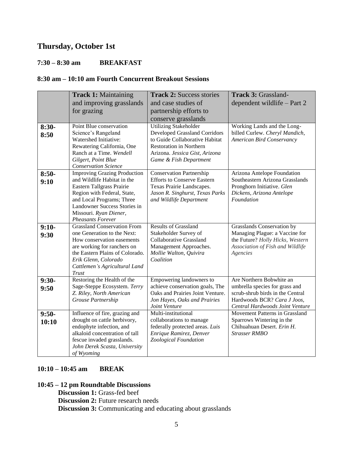# **Thursday, October 1st**

#### **7:30 – 8:30 am BREAKFAST**

#### **8:30 am – 10:10 am Fourth Concurrent Breakout Sessions**

| $8:30-$          | <b>Track 1: Maintaining</b><br>and improving grasslands<br>for grazing<br>Point Blue conservation                                                                                                                                                 | <b>Track 2: Success stories</b><br>and case studies of<br>partnership efforts to<br>conserve grasslands<br><b>Utilizing Stakeholder</b>                              | Track 3: Grassland-<br>dependent wildlife - Part 2<br>Working Lands and the Long-                                                                                |
|------------------|---------------------------------------------------------------------------------------------------------------------------------------------------------------------------------------------------------------------------------------------------|----------------------------------------------------------------------------------------------------------------------------------------------------------------------|------------------------------------------------------------------------------------------------------------------------------------------------------------------|
| 8:50             | Science's Rangeland<br>Watershed Initiative:<br>Rewatering California, One<br>Ranch at a Time. Wendell<br>Gilgert, Point Blue<br><b>Conservation Science</b>                                                                                      | <b>Developed Grassland Corridors</b><br>to Guide Collaborative Habitat<br><b>Restoration in Northern</b><br>Arizona. Jessica Gist, Arizona<br>Game & Fish Department | billed Curlew. Cheryl Mandich,<br>American Bird Conservancy                                                                                                      |
| $8:50-$<br>9:10  | <b>Improving Grazing Production</b><br>and Wildlife Habitat in the<br>Eastern Tallgrass Prairie<br>Region with Federal, State,<br>and Local Programs; Three<br>Landowner Success Stories in<br>Missouri. Ryan Diener,<br><b>Pheasants Forever</b> | <b>Conservation Partnership</b><br><b>Efforts to Conserve Eastern</b><br>Texas Prairie Landscapes.<br>Jason R. Singhurst, Texas Parks<br>and Wildlife Department     | Arizona Antelope Foundation<br>Southeastern Arizona Grasslands<br>Pronghorn Initiative. Glen<br>Dickens, Arizona Antelope<br>Foundation                          |
| $9:10-$<br>9:30  | <b>Grassland Conservation From</b><br>one Generation to the Next:<br>How conservation easements<br>are working for ranchers on<br>the Eastern Plains of Colorado.<br>Erik Glenn, Colorado<br>Cattlemen's Agricultural Land<br>Trust               | <b>Results of Grassland</b><br>Stakeholder Survey of<br><b>Collaborative Grassland</b><br>Management Approaches.<br>Mollie Walton, Quivira<br>Coalition              | Grasslands Conservation by<br>Managing Plague: a Vaccine for<br>the Future? Holly Hicks, Western<br>Association of Fish and Wildlife<br>Agencies                 |
| $9:30-$<br>9:50  | Restoring the Health of the<br>Sage-Steppe Ecosystem. Terry<br>Z. Riley, North American<br>Grouse Partnership                                                                                                                                     | Empowering landowners to<br>achieve conservation goals, The<br>Oaks and Prairies Joint Venture.<br>Jon Hayes, Oaks and Prairies<br>Joint Venture                     | Are Northern Bobwhite an<br>umbrella species for grass and<br>scrub-shrub birds in the Central<br>Hardwoods BCR? Cara J Joos,<br>Central Hardwoods Joint Venture |
| $9:50-$<br>10:10 | Influence of fire, grazing and<br>drought on cattle herbivory,<br>endophyte infection, and<br>alkaloid concentration of tall<br>fescue invaded grasslands.<br>John Derek Scasta, University<br>of Wyoming                                         | Multi-institutional<br>collaborations to manage<br>federally protected areas. Luis<br>Enrique Ramirez, Denver<br>Zoological Foundation                               | Movement Patterns in Grassland<br>Sparrows Wintering in the<br>Chihuahuan Desert. Erin H.<br><b>Strasser RMBO</b>                                                |

### **10:10 – 10:45 am BREAK**

### **10:45 – 12 pm Roundtable Discussions**

**Discussion 1: Grass-fed beef Discussion 2:** Future research needs **Discussion 3:** Communicating and educating about grasslands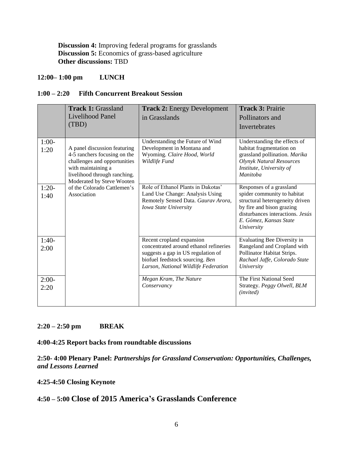**Discussion 4:** Improving federal programs for grasslands **Discussion 5:** Economics of grass-based agriculture **Other discussions:** TBD

### **12:00– 1:00 pm LUNCH**

#### **1:00 – 2:20 Fifth Concurrent Breakout Session**

|                 | <b>Track 1: Grassland</b>                                                                                                                                                       | <b>Track 2: Energy Development</b>                                                                                                                                                   | Track 3: Prairie                                                                                                                                                                                    |
|-----------------|---------------------------------------------------------------------------------------------------------------------------------------------------------------------------------|--------------------------------------------------------------------------------------------------------------------------------------------------------------------------------------|-----------------------------------------------------------------------------------------------------------------------------------------------------------------------------------------------------|
|                 | Livelihood Panel<br>(TBD)                                                                                                                                                       | in Grasslands                                                                                                                                                                        | Pollinators and<br>Invertebrates                                                                                                                                                                    |
| $1:00-$<br>1:20 | A panel discussion featuring<br>4-5 ranchers focusing on the<br>challenges and opportunities<br>with maintaining a<br>livelihood through ranching.<br>Moderated by Steve Wooten | Understanding the Future of Wind<br>Development in Montana and<br>Wyoming. Claire Hood, World<br>Wildlife Fund                                                                       | Understanding the effects of<br>habitat fragmentation on<br>grassland pollination. Marika<br><b>Olynyk Natural Resources</b><br>Institute, University of<br><b>Manitoba</b>                         |
| $1:20-$<br>1:40 | of the Colorado Cattlemen's<br>Association                                                                                                                                      | Role of Ethanol Plants in Dakotas'<br>Land Use Change: Analysis Using<br>Remotely Sensed Data. Gaurav Arora,<br>Iowa State University                                                | Responses of a grassland<br>spider community to habitat<br>structural heterogeneity driven<br>by fire and bison grazing<br>disturbances interactions. Jesús<br>E. Gómez, Kansas State<br>University |
| $1:40-$<br>2:00 |                                                                                                                                                                                 | Recent cropland expansion<br>concentrated around ethanol refineries<br>suggests a gap in US regulation of<br>biofuel feedstock sourcing. Ben<br>Larson, National Wildlife Federation | Evaluating Bee Diversity in<br>Rangeland and Cropland with<br>Pollinator Habitat Strips.<br>Rachael Jaffe, Colorado State<br>University                                                             |
| $2:00-$<br>2:20 |                                                                                                                                                                                 | Megan Kram, The Nature<br>Conservancy                                                                                                                                                | The First National Seed<br>Strategy. Peggy Olwell, BLM<br>(invited)                                                                                                                                 |

#### **2:20 – 2:50 pm BREAK**

#### **4:00-4:25 Report backs from roundtable discussions**

#### **2:50- 4:00 Plenary Panel:** *Partnerships for Grassland Conservation: Opportunities, Challenges, and Lessons Learned*

#### **4:25-4:50 Closing Keynote**

# **4:50 – 5:00 Close of 2015 America's Grasslands Conference**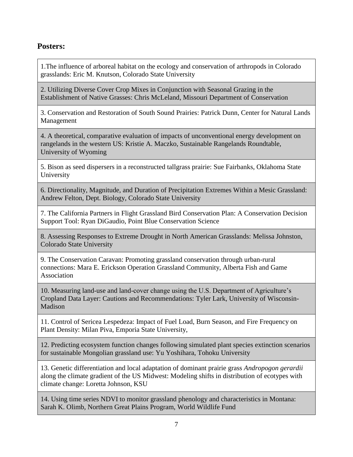# **Posters:**

1.The influence of arboreal habitat on the ecology and conservation of arthropods in Colorado grasslands: Eric M. Knutson, Colorado State University

2. Utilizing Diverse Cover Crop Mixes in Conjunction with Seasonal Grazing in the Establishment of Native Grasses: Chris McLeland, Missouri Department of Conservation

3. Conservation and Restoration of South Sound Prairies: Patrick Dunn, Center for Natural Lands Management

4. A theoretical, comparative evaluation of impacts of unconventional energy development on rangelands in the western US: Kristie A. Maczko, Sustainable Rangelands Roundtable, University of Wyoming

5. Bison as seed dispersers in a reconstructed tallgrass prairie: Sue Fairbanks, Oklahoma State University

6. Directionality, Magnitude, and Duration of Precipitation Extremes Within a Mesic Grassland: Andrew Felton, Dept. Biology, Colorado State University

7. The California Partners in Flight Grassland Bird Conservation Plan: A Conservation Decision Support Tool: Ryan DiGaudio, Point Blue Conservation Science

8. Assessing Responses to Extreme Drought in North American Grasslands: Melissa Johnston, Colorado State University

9. The Conservation Caravan: Promoting grassland conservation through urban-rural connections: Mara E. Erickson Operation Grassland Community, Alberta Fish and Game Association

10. Measuring land-use and land-cover change using the U.S. Department of Agriculture's Cropland Data Layer: Cautions and Recommendations: Tyler Lark, University of Wisconsin-Madison

11. Control of Sericea Lespedeza: Impact of Fuel Load, Burn Season, and Fire Frequency on Plant Density: Milan Piva, Emporia State University,

12. Predicting ecosystem function changes following simulated plant species extinction scenarios for sustainable Mongolian grassland use: Yu Yoshihara, Tohoku University

13. Genetic differentiation and local adaptation of dominant prairie grass *Andropogon gerardii* along the climate gradient of the US Midwest: Modeling shifts in distribution of ecotypes with climate change: Loretta Johnson, KSU

14. Using time series NDVI to monitor grassland phenology and characteristics in Montana: Sarah K. Olimb, Northern Great Plains Program, World Wildlife Fund